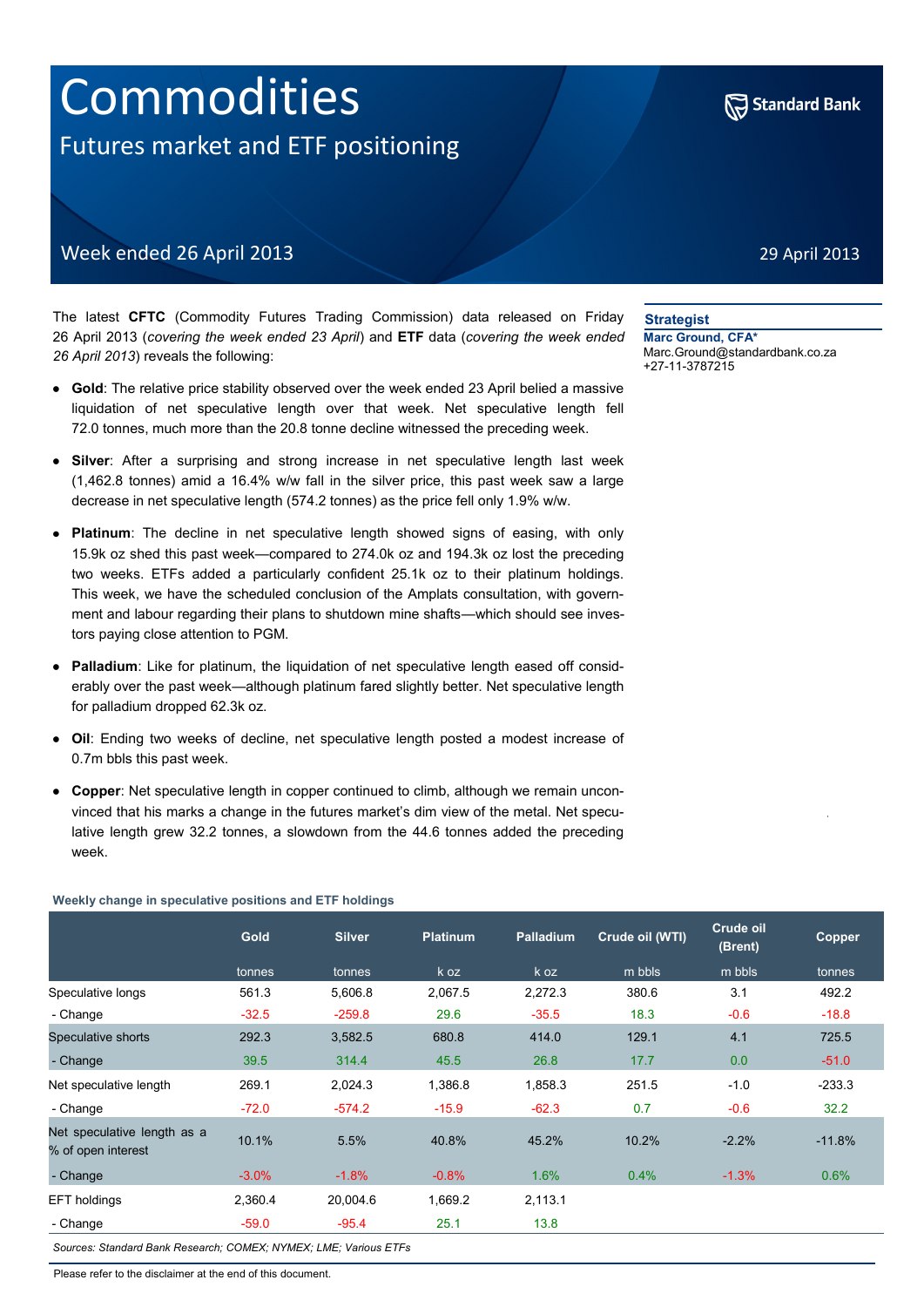# Commodities Futures market and ETF positioning



29 April 2013

# Week ended 26 April 2013

The latest **CFTC** (Commodity Futures Trading Commission) data released on Friday 26 April 2013 (*covering the week ended 23 April*) and **ETF** data (*covering the week ended 26 April 2013*) reveals the following:

- **Gold**: The relative price stability observed over the week ended 23 April belied a massive liquidation of net speculative length over that week. Net speculative length fell 72.0 tonnes, much more than the 20.8 tonne decline witnessed the preceding week.
- **Silver**: After a surprising and strong increase in net speculative length last week (1,462.8 tonnes) amid a 16.4% w/w fall in the silver price, this past week saw a large decrease in net speculative length (574.2 tonnes) as the price fell only 1.9% w/w.
- **Platinum**: The decline in net speculative length showed signs of easing, with only 15.9k oz shed this past week—compared to 274.0k oz and 194.3k oz lost the preceding two weeks. ETFs added a particularly confident 25.1k oz to their platinum holdings. This week, we have the scheduled conclusion of the Amplats consultation, with government and labour regarding their plans to shutdown mine shafts—which should see investors paying close attention to PGM.
- **Palladium**: Like for platinum, the liquidation of net speculative length eased off considerably over the past week—although platinum fared slightly better. Net speculative length for palladium dropped 62.3k oz.
- **Oil**: Ending two weeks of decline, net speculative length posted a modest increase of 0.7m bbls this past week.
- **Copper**: Net speculative length in copper continued to climb, although we remain unconvinced that his marks a change in the futures market's dim view of the metal. Net speculative length grew 32.2 tonnes, a slowdown from the 44.6 tonnes added the preceding week.

#### **Weekly change in speculative positions and ETF holdings**

|                                                   | <b>Gold</b> | <b>Silver</b> | <b>Platinum</b> | <b>Palladium</b> | Crude oil (WTI) | Crude oil<br>(Brent) | Copper   |
|---------------------------------------------------|-------------|---------------|-----------------|------------------|-----------------|----------------------|----------|
|                                                   | tonnes      | tonnes        | k oz            | k oz             | m bbls          | m bbls               | tonnes   |
| Speculative longs                                 | 561.3       | 5,606.8       | 2,067.5         | 2,272.3          | 380.6           | 3.1                  | 492.2    |
| - Change                                          | $-32.5$     | $-259.8$      | 29.6            | $-35.5$          | 18.3            | $-0.6$               | $-18.8$  |
| Speculative shorts                                | 292.3       | 3,582.5       | 680.8           | 414.0            | 129.1           | 4.1                  | 725.5    |
| - Change                                          | 39.5        | 314.4         | 45.5            | 26.8             | 17.7            | 0.0                  | $-51.0$  |
| Net speculative length                            | 269.1       | 2,024.3       | 1,386.8         | 1,858.3          | 251.5           | $-1.0$               | $-233.3$ |
| - Change                                          | $-72.0$     | $-574.2$      | $-15.9$         | $-62.3$          | 0.7             | $-0.6$               | 32.2     |
| Net speculative length as a<br>% of open interest | 10.1%       | 5.5%          | 40.8%           | 45.2%            | 10.2%           | $-2.2%$              | $-11.8%$ |
| - Change                                          | $-3.0%$     | $-1.8%$       | $-0.8%$         | 1.6%             | 0.4%            | $-1.3%$              | 0.6%     |
| EFT holdings                                      | 2,360.4     | 20,004.6      | 1,669.2         | 2,113.1          |                 |                      |          |
| - Change                                          | $-59.0$     | $-95.4$       | 25.1            | 13.8             |                 |                      |          |

*Sources: Standard Bank Research; COMEX; NYMEX; LME; Various ETFs*

Please refer to the disclaimer at the end of this document.

#### **Strategist**

**Marc Ground, CFA\*** Marc.Ground@standardbank.co.za +27-11-3787215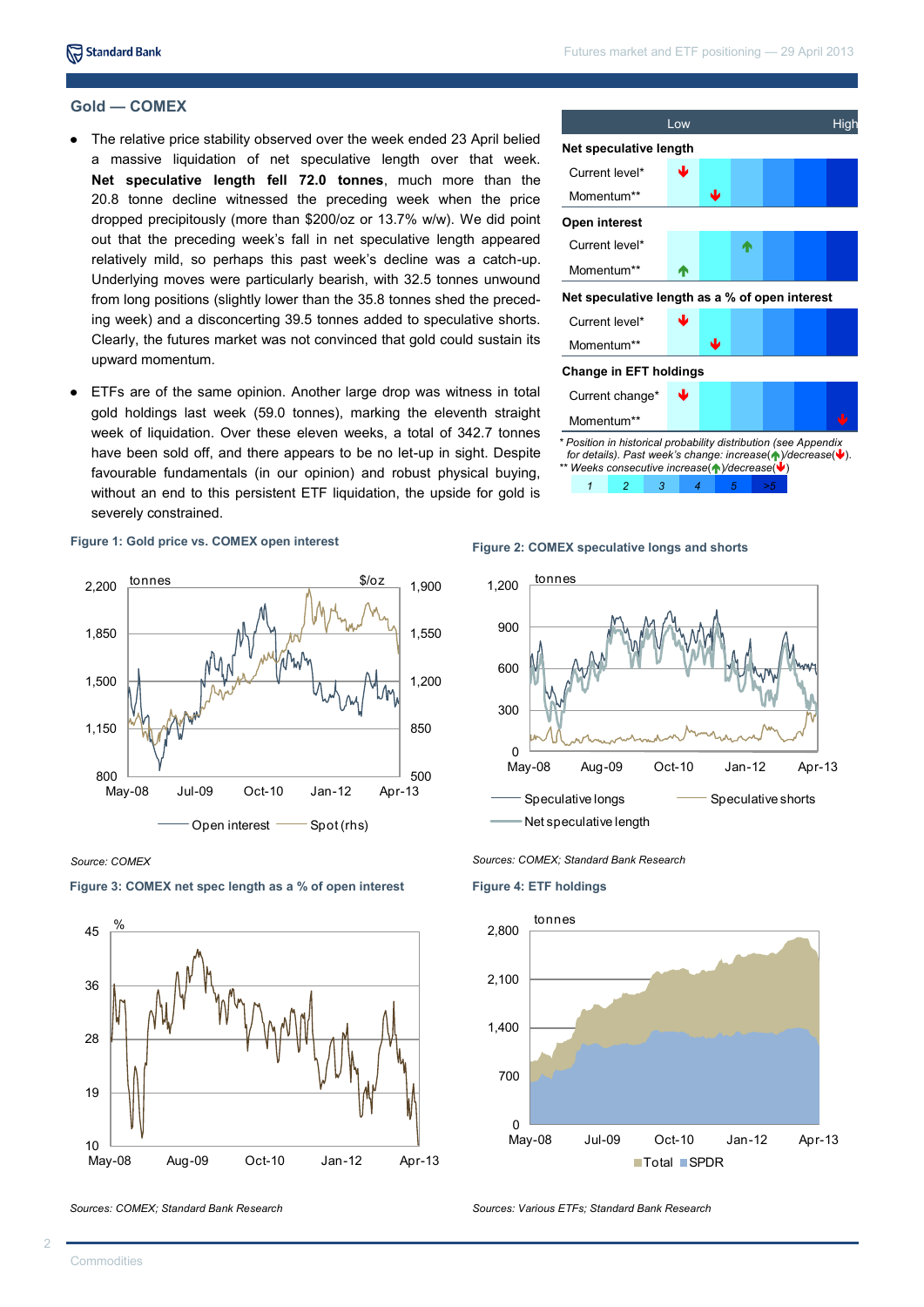#### **Gold — COMEX**

- The relative price stability observed over the week ended 23 April belied a massive liquidation of net speculative length over that week. **Net speculative length fell 72.0 tonnes**, much more than the 20.8 tonne decline witnessed the preceding week when the price dropped precipitously (more than \$200/oz or 13.7% w/w). We did point out that the preceding week's fall in net speculative length appeared relatively mild, so perhaps this past week's decline was a catch-up. Underlying moves were particularly bearish, with 32.5 tonnes unwound from long positions (slightly lower than the 35.8 tonnes shed the preceding week) and a disconcerting 39.5 tonnes added to speculative shorts. Clearly, the futures market was not convinced that gold could sustain its upward momentum.
- ETFs are of the same opinion. Another large drop was witness in total  $\bullet$ gold holdings last week (59.0 tonnes), marking the eleventh straight week of liquidation. Over these eleven weeks, a total of 342.7 tonnes have been sold off, and there appears to be no let-up in sight. Despite favourable fundamentals (in our opinion) and robust physical buying, without an end to this persistent ETF liquidation, the upside for gold is severely constrained.



#### **Figure 1: Gold price vs. COMEX open interest**



*Source: COMEX*



#### **Figure 3: COMEX net spec length as a % of open interest**

*Sources: COMEX; Standard Bank Research*

# **Figure 2: COMEX speculative longs and shorts**



*Sources: COMEX; Standard Bank Research*

**Figure 4: ETF holdings**



*Sources: Various ETFs; Standard Bank Research*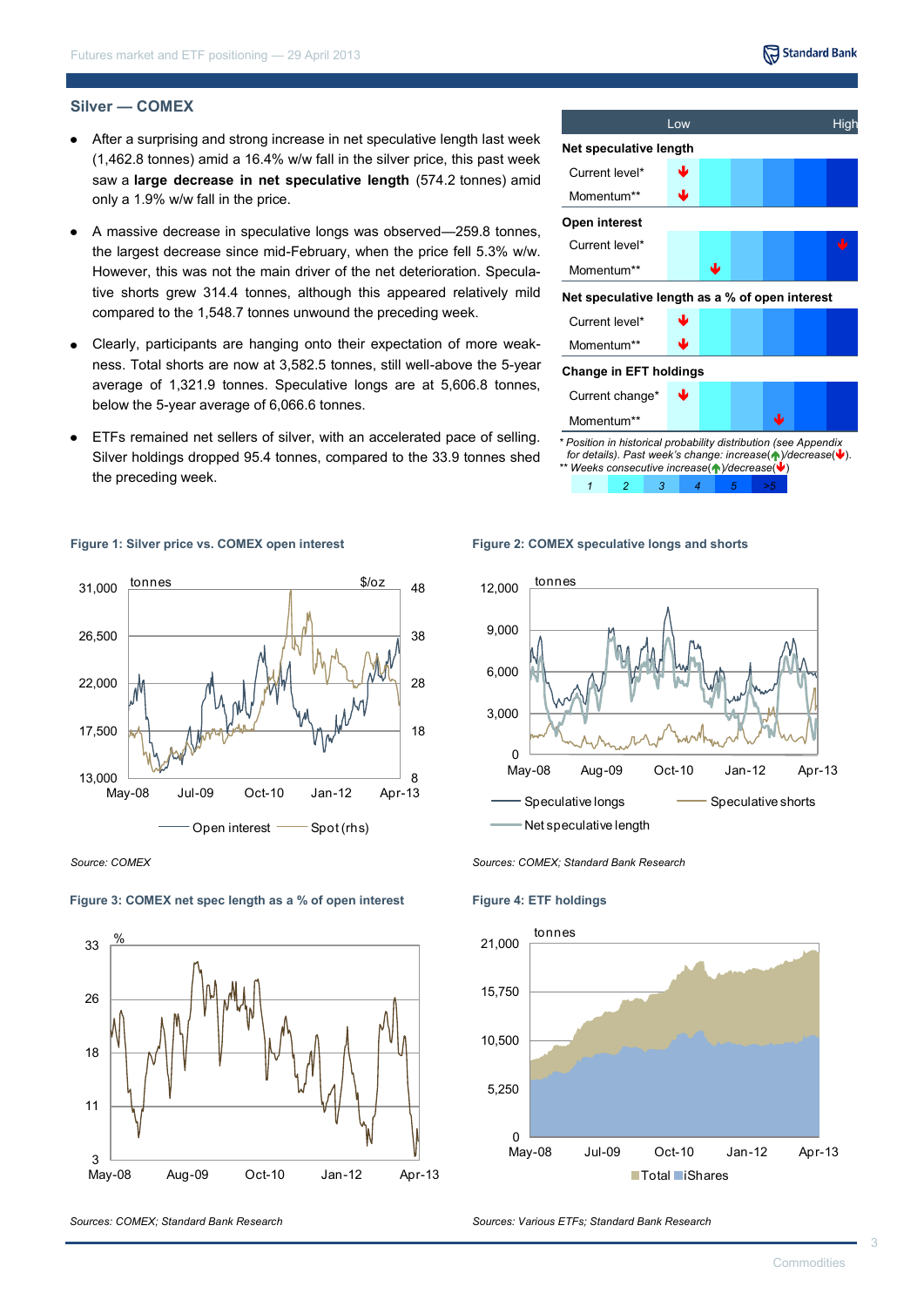# Standard Bank

#### **Silver — COMEX**

- After a surprising and strong increase in net speculative length last week (1,462.8 tonnes) amid a 16.4% w/w fall in the silver price, this past week saw a **large decrease in net speculative length** (574.2 tonnes) amid only a 1.9% w/w fall in the price.
- A massive decrease in speculative longs was observed—259.8 tonnes, the largest decrease since mid-February, when the price fell 5.3% w/w. However, this was not the main driver of the net deterioration. Speculative shorts grew 314.4 tonnes, although this appeared relatively mild compared to the 1,548.7 tonnes unwound the preceding week.
- Clearly, participants are hanging onto their expectation of more weak- $\bullet$ ness. Total shorts are now at 3,582.5 tonnes, still well-above the 5-year average of 1,321.9 tonnes. Speculative longs are at 5,606.8 tonnes, below the 5-year average of 6,066.6 tonnes.
- ETFs remained net sellers of silver, with an accelerated pace of selling. Silver holdings dropped 95.4 tonnes, compared to the 33.9 tonnes shed the preceding week.



**Figure 1: Silver price vs. COMEX open interest**



*Source: COMEX*

#### **Figure 3: COMEX net spec length as a % of open interest**



**Figure 2: COMEX speculative longs and shorts**



*Sources: COMEX; Standard Bank Research*

**Figure 4: ETF holdings**



*Sources: Various ETFs; Standard Bank Research*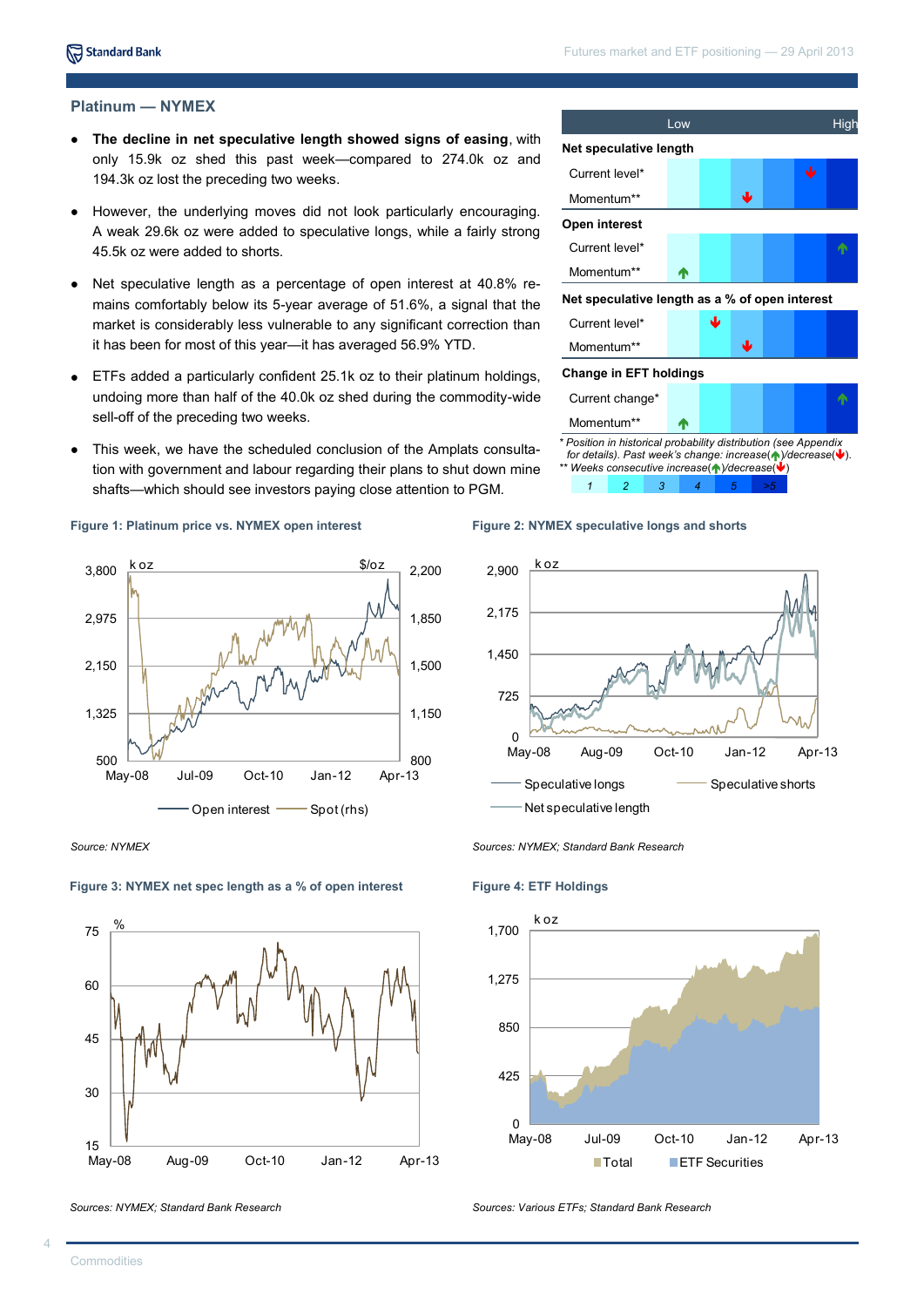# **Platinum — NYMEX**

- **The decline in net speculative length showed signs of easing**, with only 15.9k oz shed this past week—compared to 274.0k oz and 194.3k oz lost the preceding two weeks.
- However, the underlying moves did not look particularly encouraging.  $\bullet$ A weak 29.6k oz were added to speculative longs, while a fairly strong 45.5k oz were added to shorts.
- Net speculative length as a percentage of open interest at 40.8% re- $\bullet$ mains comfortably below its 5-year average of 51.6%, a signal that the market is considerably less vulnerable to any significant correction than it has been for most of this year—it has averaged 56.9% YTD.
- ETFs added a particularly confident 25.1k oz to their platinum holdings,  $\bullet$ undoing more than half of the 40.0k oz shed during the commodity-wide sell-off of the preceding two weeks.
- This week, we have the scheduled conclusion of the Amplats consultation with government and labour regarding their plans to shut down mine shafts—which should see investors paying close attention to PGM.

#### **Figure 1: Platinum price vs. NYMEX open interest**



*Source: NYMEX*



#### **Figure 3: NYMEX net spec length as a % of open interest**

*Sources: NYMEX; Standard Bank Research*



*\*\* Weeks consecutive increase*()*/decrease*()







*Sources: NYMEX; Standard Bank Research*

#### **Figure 4: ETF Holdings**



*Sources: Various ETFs; Standard Bank Research*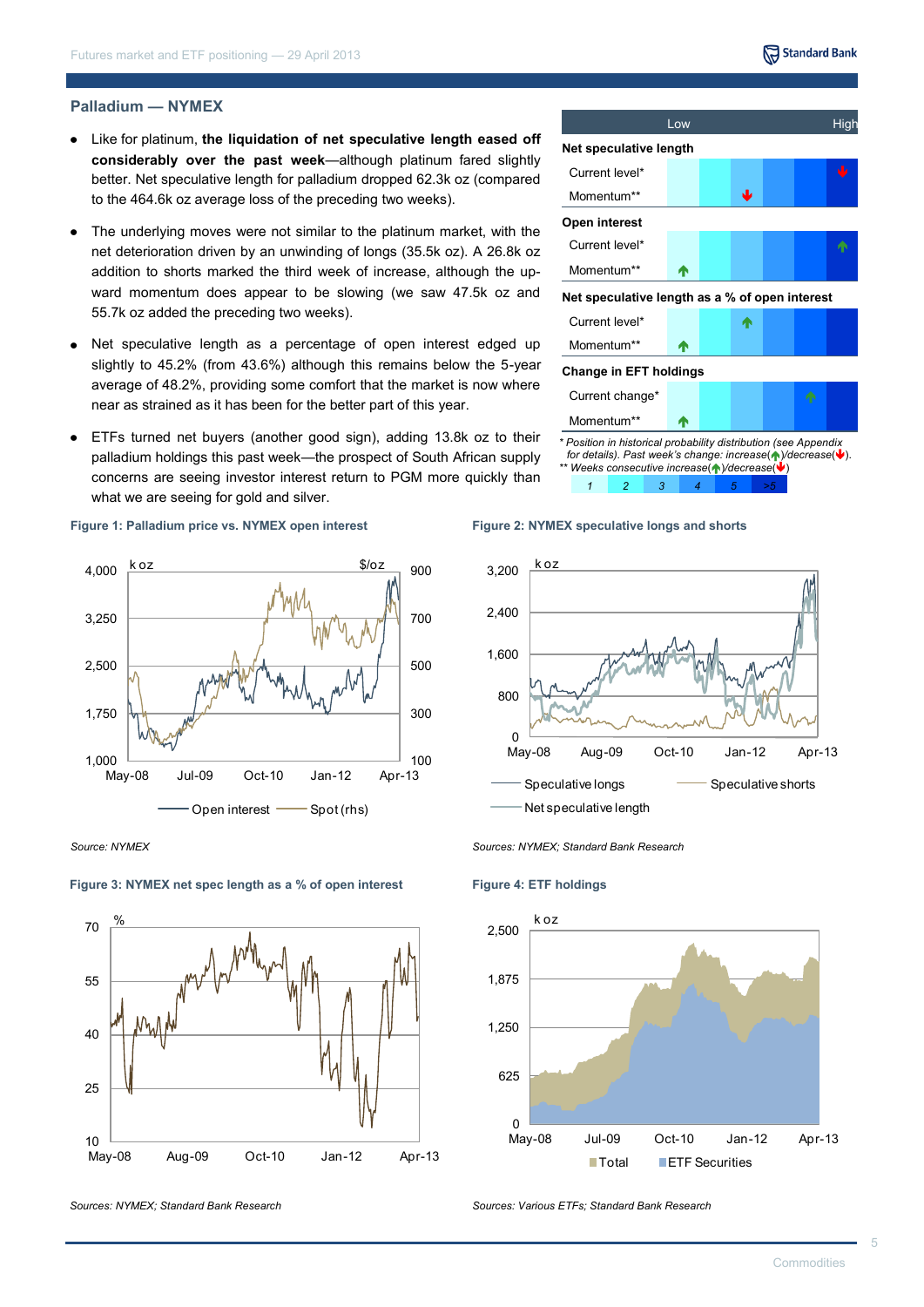#### **Palladium — NYMEX**

- Like for platinum, **the liquidation of net speculative length eased off considerably over the past week**—although platinum fared slightly better. Net speculative length for palladium dropped 62.3k oz (compared to the 464.6k oz average loss of the preceding two weeks).
- The underlying moves were not similar to the platinum market, with the net deterioration driven by an unwinding of longs (35.5k oz). A 26.8k oz addition to shorts marked the third week of increase, although the upward momentum does appear to be slowing (we saw 47.5k oz and 55.7k oz added the preceding two weeks).
- Net speculative length as a percentage of open interest edged up  $\bullet$ slightly to 45.2% (from 43.6%) although this remains below the 5-year average of 48.2%, providing some comfort that the market is now where near as strained as it has been for the better part of this year.
- ETFs turned net buyers (another good sign), adding 13.8k oz to their palladium holdings this past week—the prospect of South African supply concerns are seeing investor interest return to PGM more quickly than what we are seeing for gold and silver.

#### **Figure 1: Palladium price vs. NYMEX open interest**



*Source: NYMEX*



#### **Figure 3: NYMEX net spec length as a % of open interest**

*Sources: NYMEX; Standard Bank Research*

Low High High



for details). Past week's change: increase( $\blacklozenge$ )/decrease( $\blacktriangleright$ ). *\*\* Weeks consecutive increase*()*/decrease*()







*Sources: NYMEX; Standard Bank Research*

#### **Figure 4: ETF holdings**



*Sources: Various ETFs; Standard Bank Research*

Standard Bank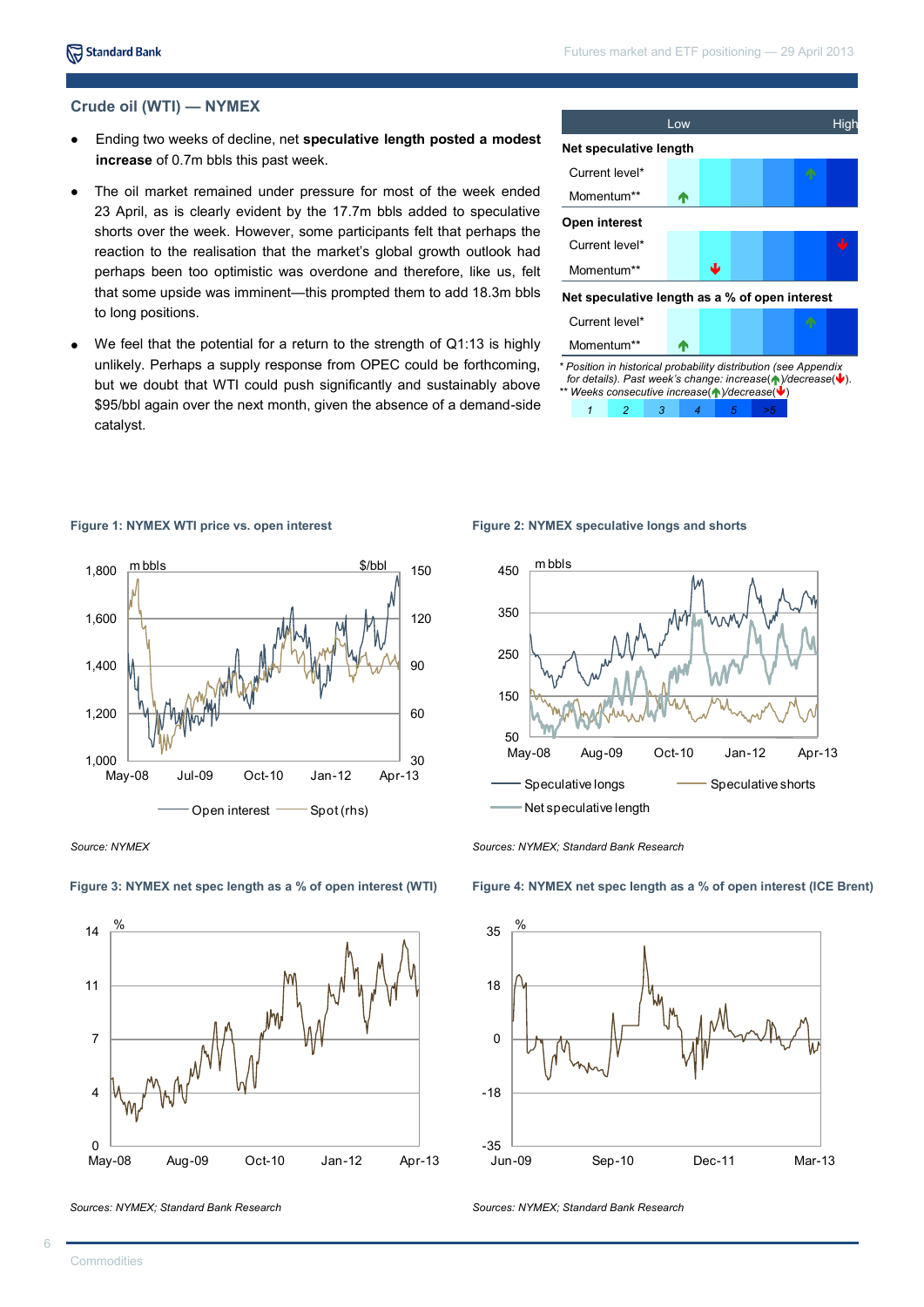# **Crude oil (WTI) — NYMEX**

- $\bullet$ Ending two weeks of decline, net **speculative length posted a modest increase** of 0.7m bbls this past week.
- The oil market remained under pressure for most of the week ended 23 April, as is clearly evident by the 17.7m bbls added to speculative shorts over the week. However, some participants felt that perhaps the reaction to the realisation that the market's global growth outlook had perhaps been too optimistic was overdone and therefore, like us, felt that some upside was imminent—this prompted them to add 18.3m bbls to long positions.
- We feel that the potential for a return to the strength of Q1:13 is highly  $\bullet$ unlikely. Perhaps a supply response from OPEC could be forthcoming, but we doubt that WTI could push significantly and sustainably above \$95/bbl again over the next month, given the absence of a demand-side catalyst.



*<sup>\*</sup> Position in historical probability distribution (see Appendix for details). Past week's change: increase*( $\bigwedge$ */decrease*( $\bigvee$ ). *\*\* Weeks consecutive increase*()*/decrease*() *1 2 3 4 5 >5*

#### **Figure 1: NYMEX WTI price vs. open interest**





#### **Figure 3: NYMEX net spec length as a % of open interest (WTI)**

*Sources: NYMEX; Standard Bank Research*

Net speculative length

50

150

250

350

450

m bbls

**Figure 2: NYMEX speculative longs and shorts**

*Sources: NYMEX; Standard Bank Research*

**Figure 4: NYMEX net spec length as a % of open interest (ICE Brent)**

May-08 Aug-09 Oct-10 Jan-12 Apr-13 Speculative longs Speculative shorts



*Sources: NYMEX; Standard Bank Research*

<sup>30</sup> 60  $90$ 120 150 — 1,000<br>Mav-08 1,200 1,400 1,600 1,800 May-08 Jul-09 Oct-10 Jan-12 Apr-13 Open interest  $\overline{\phantom{0}}$  Spot (rhs) m bbls \$/bbl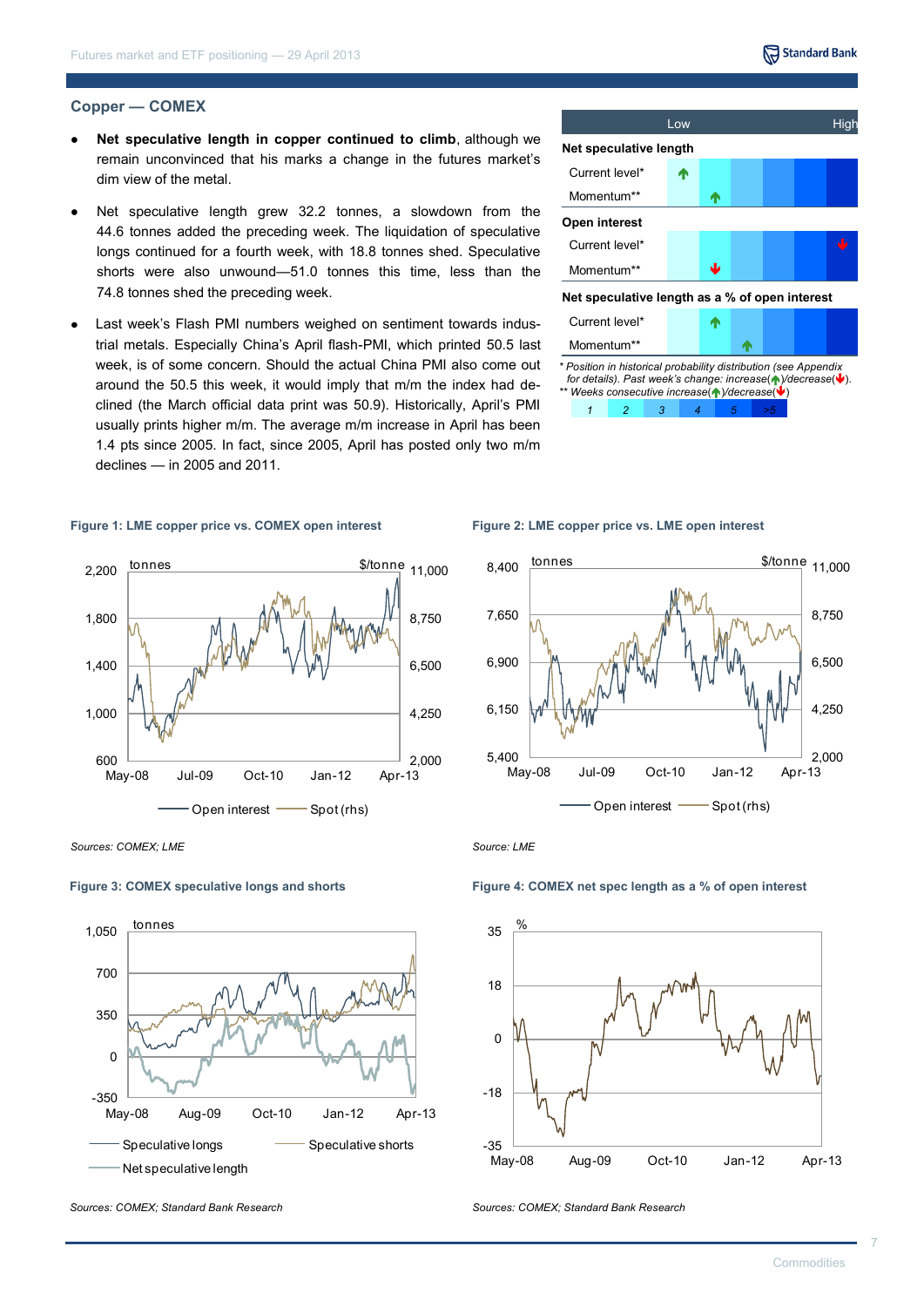#### **Copper — COMEX**

- **Net speculative length in copper continued to climb**, although we remain unconvinced that his marks a change in the futures market's dim view of the metal.
- Net speculative length grew 32.2 tonnes, a slowdown from the 44.6 tonnes added the preceding week. The liquidation of speculative longs continued for a fourth week, with 18.8 tonnes shed. Speculative shorts were also unwound—51.0 tonnes this time, less than the 74.8 tonnes shed the preceding week.
- Last week's Flash PMI numbers weighed on sentiment towards industrial metals. Especially China's April flash-PMI, which printed 50.5 last week, is of some concern. Should the actual China PMI also come out around the 50.5 this week, it would imply that m/m the index had declined (the March official data print was 50.9). Historically, April's PMI usually prints higher m/m. The average m/m increase in April has been 1.4 pts since 2005. In fact, since 2005, April has posted only two m/m declines — in 2005 and 2011.

#### **Figure 1: LME copper price vs. COMEX open interest**





*1 2 3 4 5 >5*

**Figure 2: LME copper price vs. LME open interest**



*Sources: COMEX; LME*

#### **Figure 3: COMEX speculative longs and shorts**



*Sources: COMEX; Standard Bank Research*

*Source: LME*



*Sources: COMEX; Standard Bank Research*

**Figure 4: COMEX net spec length as a % of open interest**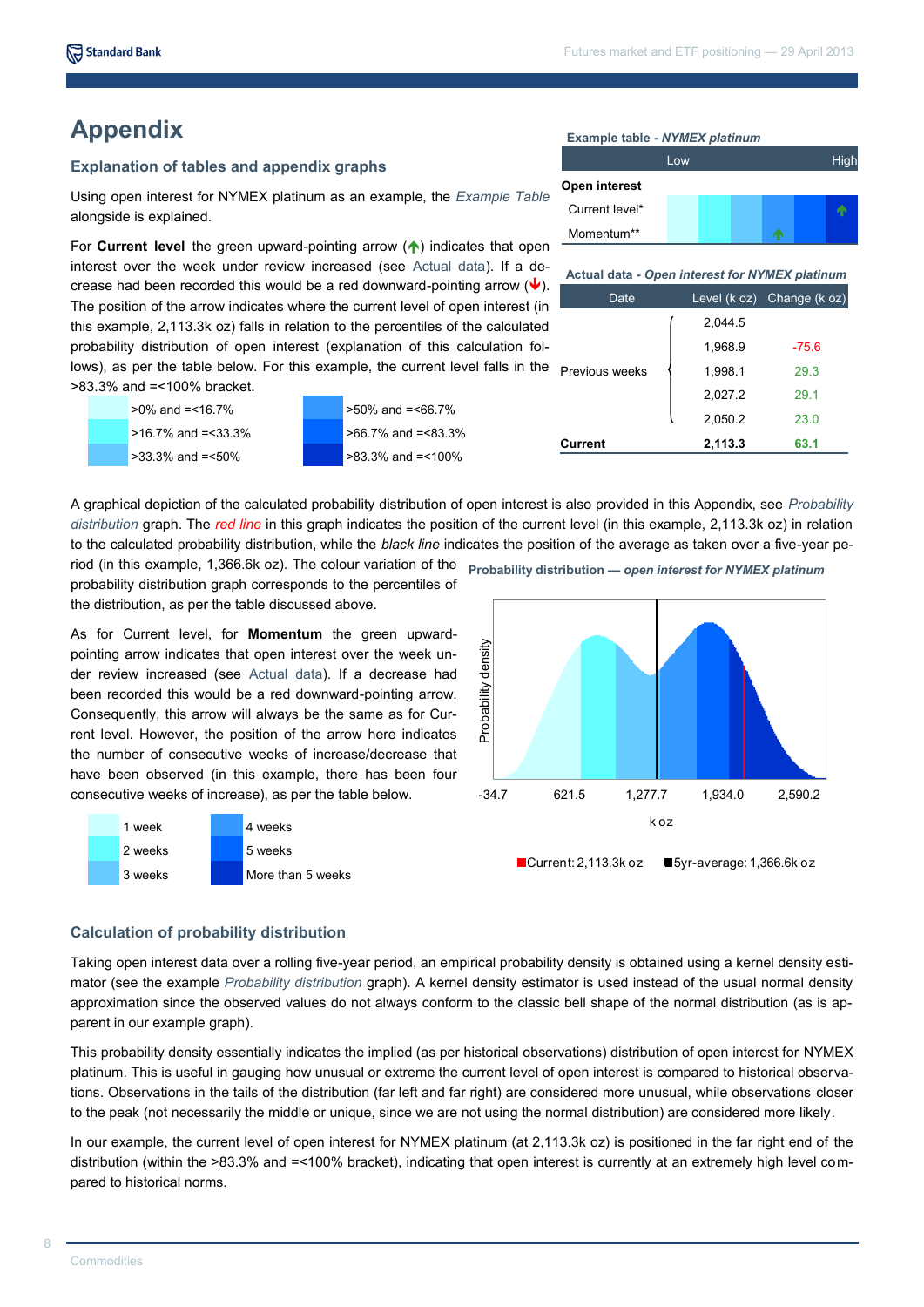# **Appendix**

### **Explanation of tables and appendix graphs**

Using open interest for NYMEX platinum as an example, the *Example Table*  alongside is explained.

For **Current level** the green upward-pointing arrow ( $\uparrow$ ) indicates that open interest over the week under review increased (see Actual data). If a decrease had been recorded this would be a red downward-pointing arrow  $(\vee).$ The position of the arrow indicates where the current level of open interest (in this example, 2,113.3k oz) falls in relation to the percentiles of the calculated probability distribution of open interest (explanation of this calculation follows), as per the table below. For this example, the current level falls in the previous weeks >83.3% and =<100% bracket.



Low **High High High Open interest** Current level\*

**Example table -** *NYMEX platinum*

Momentum\*\*

Date Level (k oz) Change (k oz) 2,044.5 1,968.9 -75.6 1,998.1 29.3 2,027.2 29.1 **Actual data -** *Open interest for NYMEX platinum*

**Current 2,113.3 63.1**

2,050.2 23.0

A graphical depiction of the calculated probability distribution of open interest is also provided in this Appendix, see *Probability distribution* graph. The *red line* in this graph indicates the position of the current level (in this example, 2,113.3k oz) in relation to the calculated probability distribution, while the *black line* indicates the position of the average as taken over a five-year pe-

probability distribution graph corresponds to the percentiles of the distribution, as per the table discussed above.

As for Current level, for **Momentum** the green upwardpointing arrow indicates that open interest over the week under review increased (see Actual data). If a decrease had been recorded this would be a red downward-pointing arrow. Consequently, this arrow will always be the same as for Current level. However, the position of the arrow here indicates the number of consecutive weeks of increase/decrease that have been observed (in this example, there has been four consecutive weeks of increase), as per the table below.



## **Calculation of probability distribution**

Taking open interest data over a rolling five-year period, an empirical probability density is obtained using a kernel density estimator (see the example *Probability distribution* graph). A kernel density estimator is used instead of the usual normal density approximation since the observed values do not always conform to the classic bell shape of the normal distribution (as is apparent in our example graph).

This probability density essentially indicates the implied (as per historical observations) distribution of open interest for NYMEX platinum. This is useful in gauging how unusual or extreme the current level of open interest is compared to historical observations. Observations in the tails of the distribution (far left and far right) are considered more unusual, while observations closer to the peak (not necessarily the middle or unique, since we are not using the normal distribution) are considered more likely.

In our example, the current level of open interest for NYMEX platinum (at 2,113.3k oz) is positioned in the far right end of the distribution (within the >83.3% and =<100% bracket), indicating that open interest is currently at an extremely high level compared to historical norms.

riod (in this example, 1,366.6k oz). The colour variation of the **Probability distribution —** *open interest for NYMEX platinum*

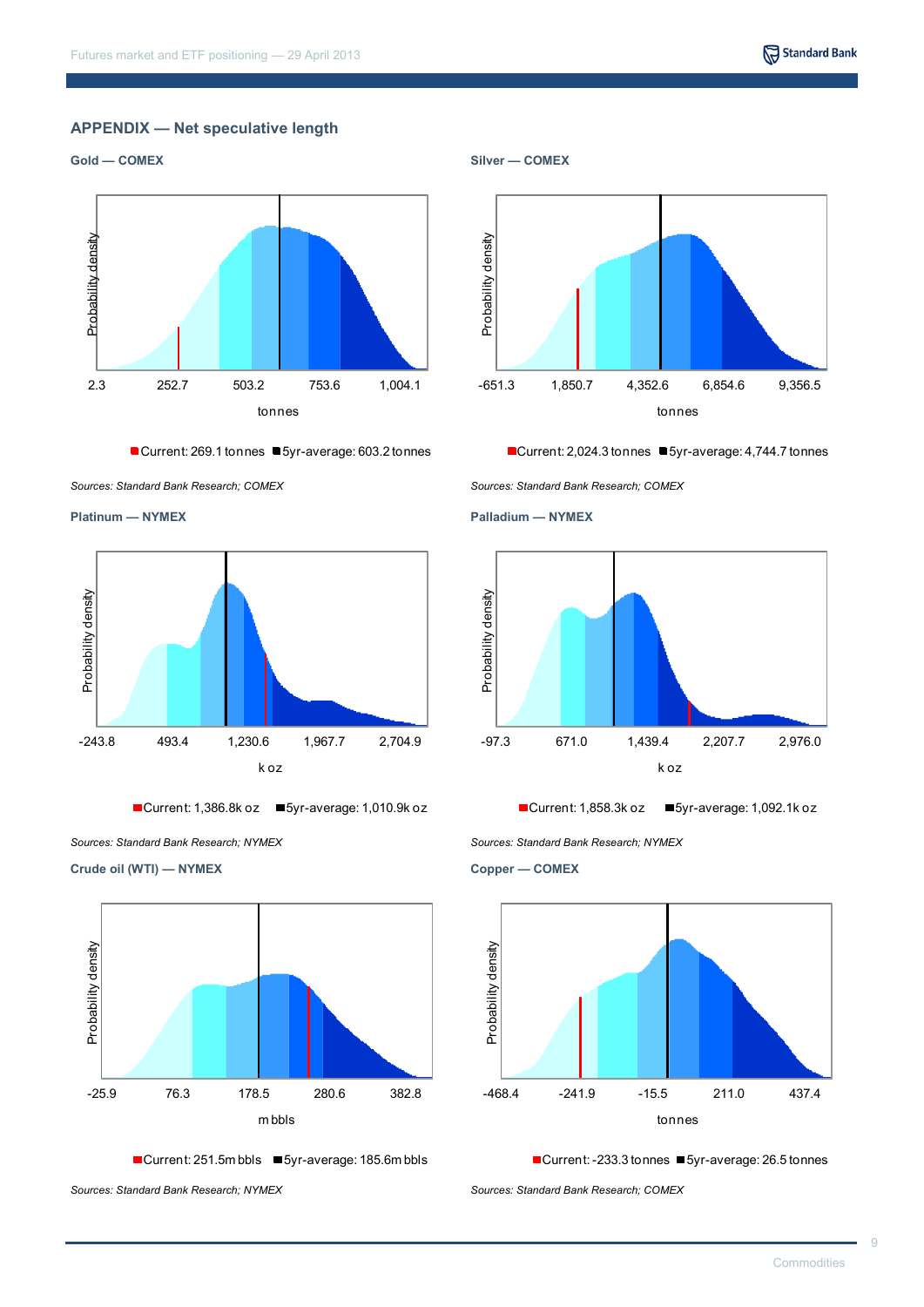# **APPENDIX — Net speculative length**





■ Current: 269.1 tonnes ■ 5yr-average: 603.2 tonnes





 $\blacksquare$  Current: 1,386.8k oz  $\blacksquare$  5yr-average: 1,010.9k oz

*Sources: Standard Bank Research; NYMEX Sources: Standard Bank Research; NYMEX*

**Crude oil (WTI) — NYMEX**



■Current: 251.5m bbls ■5yr-average: 185.6m bbls

*Sources: Standard Bank Research; NYMEX Sources: Standard Bank Research; COMEX*



■Current: 2,024.3 tonnes ■ 5yr-average: 4,744.7 tonnes





Current: 1,858.3k oz  $\blacksquare$  5yr-average: 1,092.1k oz

**Copper — COMEX**



<sup>■</sup>Current: -233.3 tonnes ■ 5yr-average: 26.5 tonnes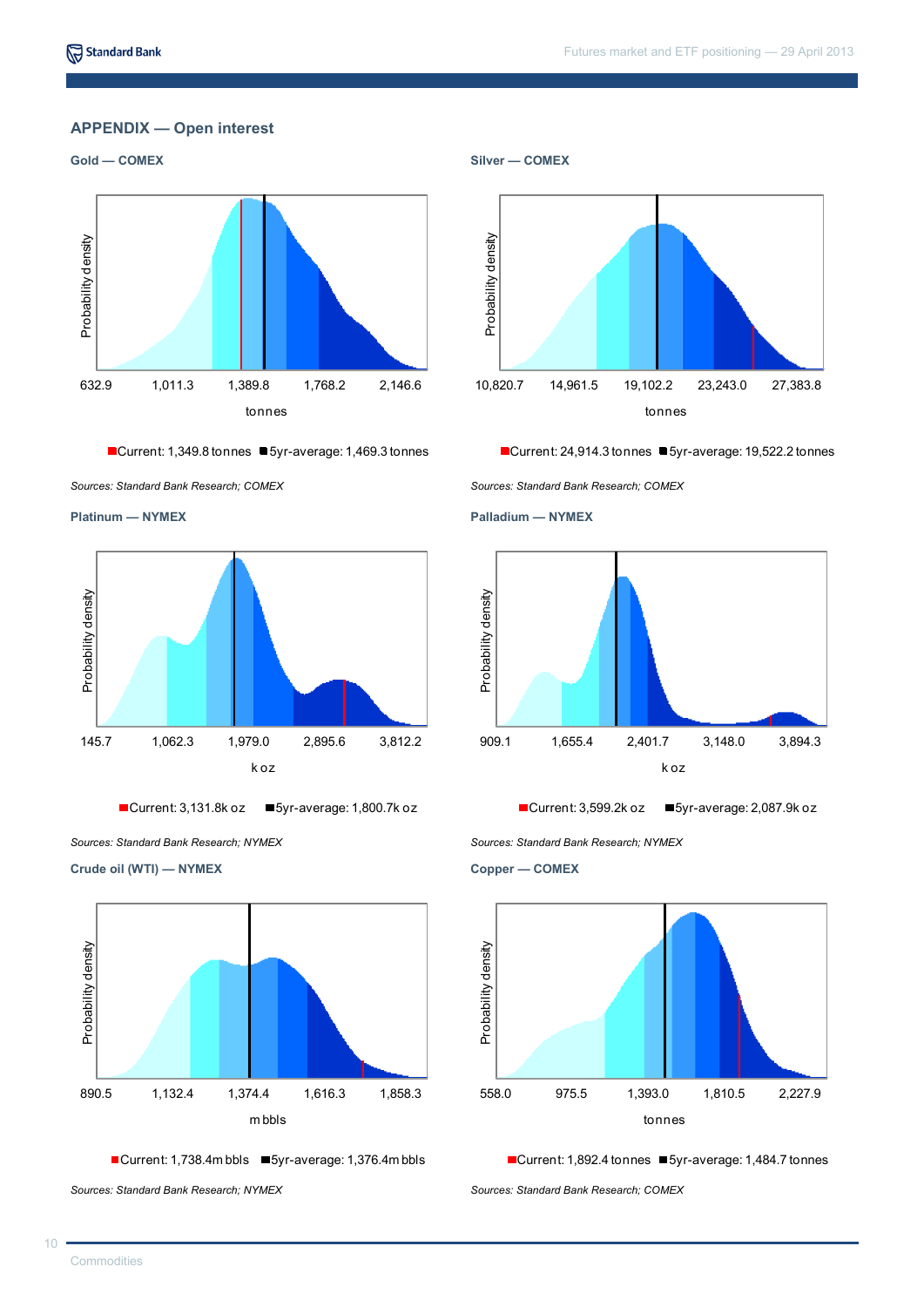# **APPENDIX — Open interest**



■Current: 1,349.8 tonnes ■ 5yr-average: 1,469.3 tonnes





■Current: 3,131.8k oz ■5yr-average: 1,800.7k oz

*Sources: Standard Bank Research; NYMEX Sources: Standard Bank Research; NYMEX*

**Crude oil (WTI) — NYMEX**



■Current: 1,738.4m bbls ■5yr-average: 1,376.4m bbls

*Sources: Standard Bank Research; NYMEX Sources: Standard Bank Research; COMEX*



■Current: 24,914.3 tonnes ■ 5yr-average: 19,522.2 tonnes





 $\blacksquare$  Current: 3,599.2k oz  $\blacksquare$  5yr-average: 2,087.9k oz

**Copper — COMEX**



<sup>■</sup>Current: 1,892.4 tonnes ■ 5yr-average: 1,484.7 tonnes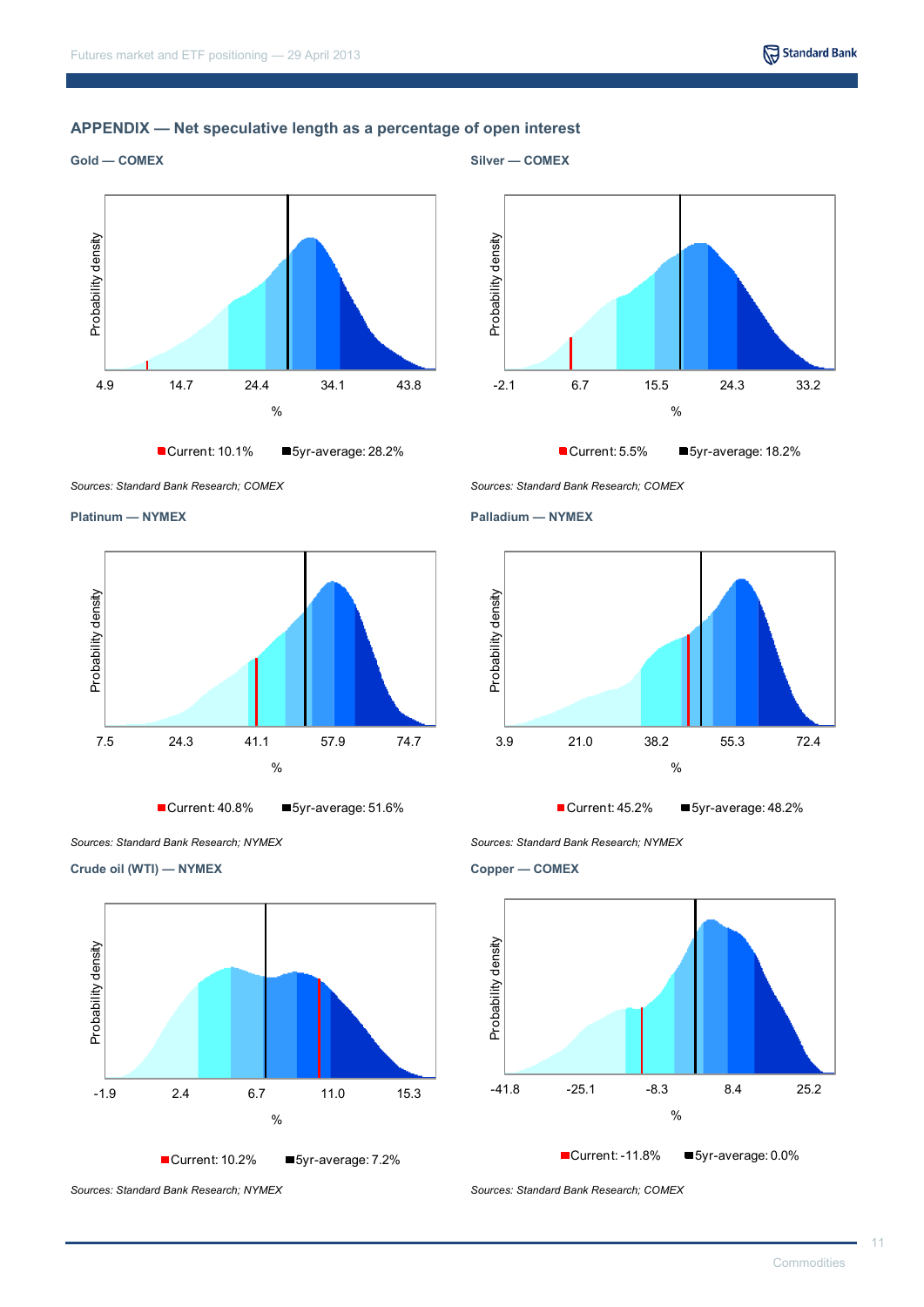# **APPENDIX — Net speculative length as a percentage of open interest**



 $\frac{4.9}{2}$ <br>A.9 14.7 24.4 34.1 43.8  $\frac{1}{2}$ Current: 10.1% 5yr-average: 28.2%



*Sources: Standard Bank Research; COMEX Sources: Standard Bank Research; COMEX*



Current: 40.8% 5yr-average: 51.6%

**Crude oil (WTI) — NYMEX**



*Sources: Standard Bank Research; NYMEX Sources: Standard Bank Research; COMEX*





*Sources: Standard Bank Research; NYMEX Sources: Standard Bank Research; NYMEX*

**Copper — COMEX**



11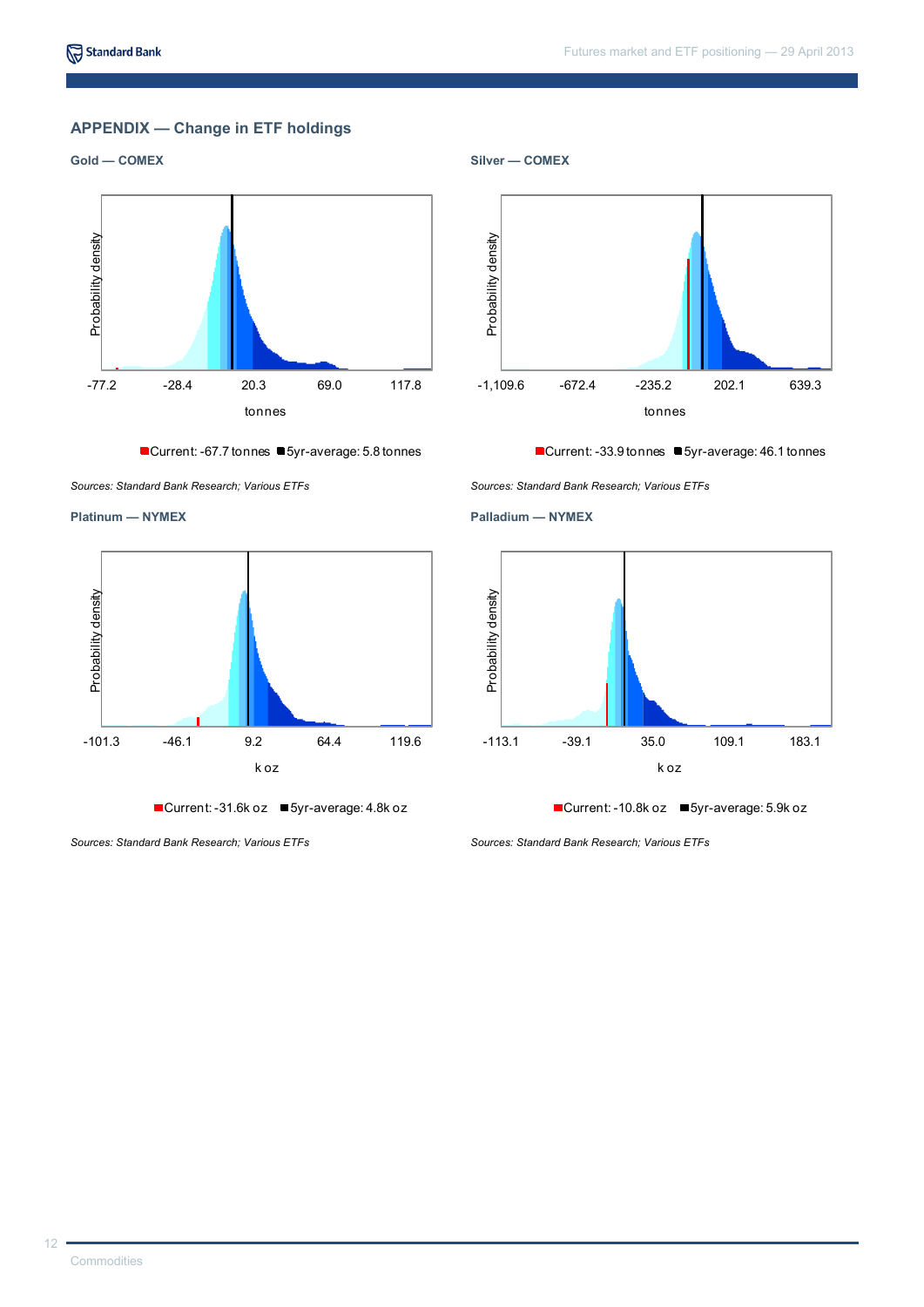# **APPENDIX — Change in ETF holdings**





■Current: -67.7 tonnes ■5yr-average: 5.8 tonnes

*Sources: Standard Bank Research; Various ETFs Sources: Standard Bank Research; Various ETFs*



■Current: -31.6k oz ■ 5yr-average: 4.8k oz

*Sources: Standard Bank Research; Various ETFs Sources: Standard Bank Research; Various ETFs*



■Current: -33.9 tonnes ■ 5yr-average: 46.1 tonnes





■Current: -10.8k oz ■5yr-average: 5.9k oz